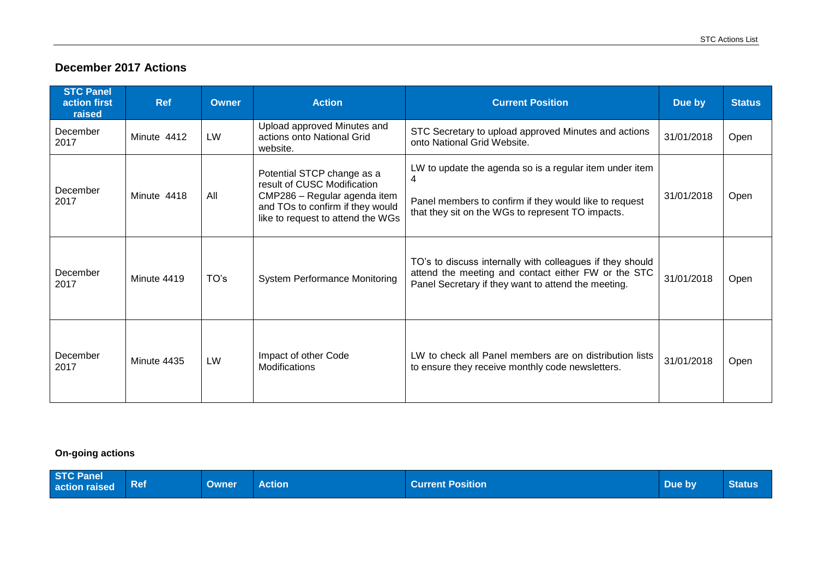## **December 2017 Actions**

| <b>STC Panel</b><br>action first<br>raised | <b>Ref</b>  | Owner | <b>Action</b>                                                                                                                                                      | <b>Current Position</b>                                                                                                                                                     | Due by     | <b>Status</b> |
|--------------------------------------------|-------------|-------|--------------------------------------------------------------------------------------------------------------------------------------------------------------------|-----------------------------------------------------------------------------------------------------------------------------------------------------------------------------|------------|---------------|
| December<br>2017                           | Minute 4412 | LW    | Upload approved Minutes and<br>actions onto National Grid<br>website.                                                                                              | STC Secretary to upload approved Minutes and actions<br>onto National Grid Website.                                                                                         | 31/01/2018 | Open          |
| December<br>2017                           | Minute 4418 | All   | Potential STCP change as a<br>result of CUSC Modification<br>CMP286 - Regular agenda item<br>and TOs to confirm if they would<br>like to request to attend the WGs | LW to update the agenda so is a regular item under item<br>4<br>Panel members to confirm if they would like to request<br>that they sit on the WGs to represent TO impacts. | 31/01/2018 | Open          |
| December<br>2017                           | Minute 4419 | TO's  | <b>System Performance Monitoring</b>                                                                                                                               | TO's to discuss internally with colleagues if they should<br>attend the meeting and contact either FW or the STC<br>Panel Secretary if they want to attend the meeting.     | 31/01/2018 | Open          |
| December<br>2017                           | Minute 4435 | LW    | Impact of other Code<br><b>Modifications</b>                                                                                                                       | LW to check all Panel members are on distribution lists<br>to ensure they receive monthly code newsletters.                                                                 | 31/01/2018 | Open          |

## **On-going actions**

| <b>STC Panel</b><br>action raised | $\vert$ Ref | <b>Owner</b> | <b>Action</b> | <b>Current Position</b> | Due by | <b>Status</b> |
|-----------------------------------|-------------|--------------|---------------|-------------------------|--------|---------------|
|-----------------------------------|-------------|--------------|---------------|-------------------------|--------|---------------|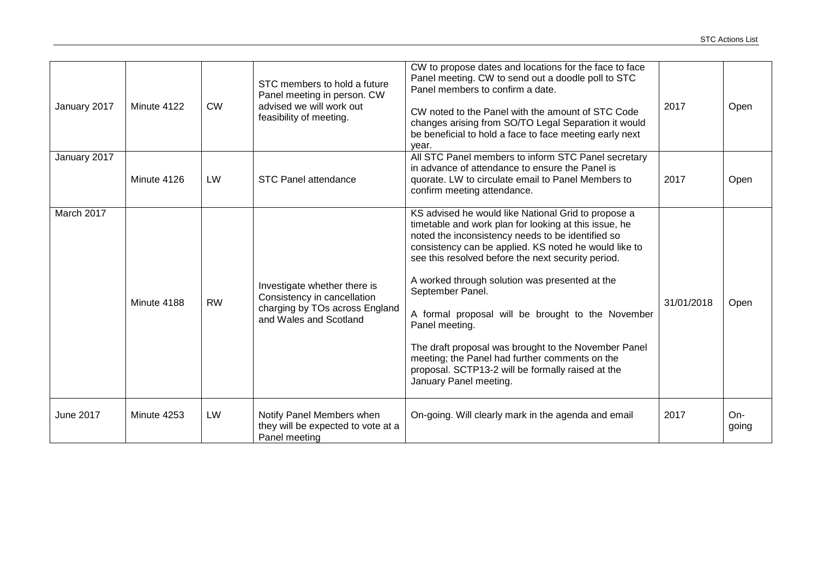| January 2017     | Minute 4122 | <b>CW</b> | STC members to hold a future<br>Panel meeting in person. CW<br>advised we will work out<br>feasibility of meeting.      | CW to propose dates and locations for the face to face<br>Panel meeting. CW to send out a doodle poll to STC<br>Panel members to confirm a date.<br>CW noted to the Panel with the amount of STC Code<br>changes arising from SO/TO Legal Separation it would<br>be beneficial to hold a face to face meeting early next<br>year.                                                                                                                                                                                                                                                                                      | 2017       | Open           |
|------------------|-------------|-----------|-------------------------------------------------------------------------------------------------------------------------|------------------------------------------------------------------------------------------------------------------------------------------------------------------------------------------------------------------------------------------------------------------------------------------------------------------------------------------------------------------------------------------------------------------------------------------------------------------------------------------------------------------------------------------------------------------------------------------------------------------------|------------|----------------|
| January 2017     | Minute 4126 | LW        | <b>STC Panel attendance</b>                                                                                             | All STC Panel members to inform STC Panel secretary<br>in advance of attendance to ensure the Panel is<br>quorate. LW to circulate email to Panel Members to<br>confirm meeting attendance.                                                                                                                                                                                                                                                                                                                                                                                                                            | 2017       | Open           |
| March 2017       | Minute 4188 | <b>RW</b> | Investigate whether there is<br>Consistency in cancellation<br>charging by TOs across England<br>and Wales and Scotland | KS advised he would like National Grid to propose a<br>timetable and work plan for looking at this issue, he<br>noted the inconsistency needs to be identified so<br>consistency can be applied. KS noted he would like to<br>see this resolved before the next security period.<br>A worked through solution was presented at the<br>September Panel.<br>A formal proposal will be brought to the November<br>Panel meeting.<br>The draft proposal was brought to the November Panel<br>meeting; the Panel had further comments on the<br>proposal. SCTP13-2 will be formally raised at the<br>January Panel meeting. | 31/01/2018 | Open           |
| <b>June 2017</b> | Minute 4253 | LW        | Notify Panel Members when<br>they will be expected to vote at a<br>Panel meeting                                        | On-going. Will clearly mark in the agenda and email                                                                                                                                                                                                                                                                                                                                                                                                                                                                                                                                                                    | 2017       | $On-$<br>going |